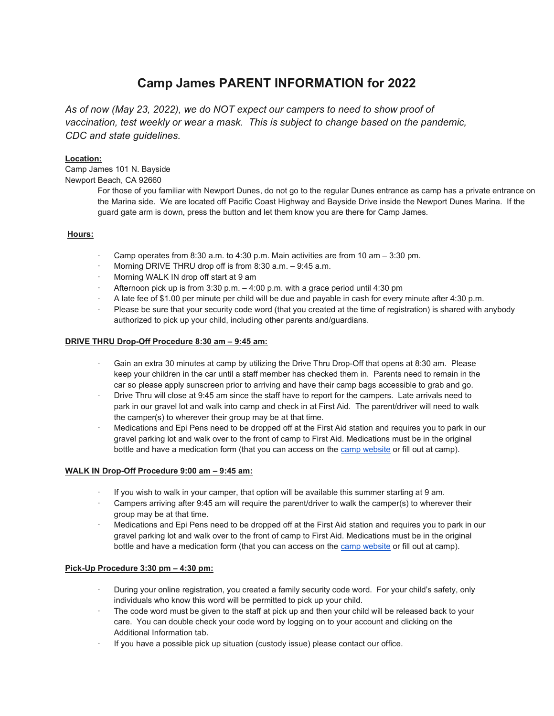# Camp James PARENT INFORMATION for 2022

As of now (May 23, 2022), we do NOT expect our campers to need to show proof of vaccination, test weekly or wear a mask. This is subject to change based on the pandemic, CDC and state quidelines.

# Location:

Camp James 101 N. Bayside Newport Beach, CA 92660

> For those of you familiar with Newport Dunes, do not go to the regular Dunes entrance as camp has a private entrance on the Marina side. We are located off Pacific Coast Highway and Bayside Drive inside the Newport Dunes Marina. If the guard gate arm is down, press the button and let them know you are there for Camp James.

# Hours:

- $\cdot$  Camp operates from 8:30 a.m. to 4:30 p.m. Main activities are from 10 am  $-$  3:30 pm.
- Morning DRIVE THRU drop off is from  $8:30$  a.m.  $-9:45$  a.m.
- · Morning WALK IN drop off start at 9 am
- Afternoon pick up is from  $3:30$  p.m.  $-4:00$  p.m. with a grace period until  $4:30$  pm
- · A late fee of \$1.00 per minute per child will be due and payable in cash for every minute after 4:30 p.m.
- Please be sure that your security code word (that you created at the time of registration) is shared with anybody authorized to pick up your child, including other parents and/guardians.

# DRIVE THRU Drop-Off Procedure 8:30 am – 9:45 am:

- Gain an extra 30 minutes at camp by utilizing the Drive Thru Drop-Off that opens at 8:30 am. Please keep your children in the car until a staff member has checked them in. Parents need to remain in the car so please apply sunscreen prior to arriving and have their camp bags accessible to grab and go.
- Drive Thru will close at 9:45 am since the staff have to report for the campers. Late arrivals need to park in our gravel lot and walk into camp and check in at First Aid. The parent/driver will need to walk the camper(s) to wherever their group may be at that time.
- Medications and Epi Pens need to be dropped off at the First Aid station and requires you to park in our gravel parking lot and walk over to the front of camp to First Aid. Medications must be in the original bottle and have a medication form (that you can access on the camp website or fill out at camp).

# WALK IN Drop-Off Procedure 9:00 am – 9:45 am:

- If you wish to walk in your camper, that option will be available this summer starting at 9 am.
- Campers arriving after 9:45 am will require the parent/driver to walk the camper(s) to wherever their group may be at that time.
- Medications and Epi Pens need to be dropped off at the First Aid station and requires you to park in our gravel parking lot and walk over to the front of camp to First Aid. Medications must be in the original bottle and have a medication form (that you can access on the camp website or fill out at camp).

# Pick-Up Procedure 3:30 pm – 4:30 pm:

- During your online registration, you created a family security code word. For your child's safety, only individuals who know this word will be permitted to pick up your child.
- The code word must be given to the staff at pick up and then your child will be released back to your care. You can double check your code word by logging on to your account and clicking on the Additional Information tab.
- If you have a possible pick up situation (custody issue) please contact our office.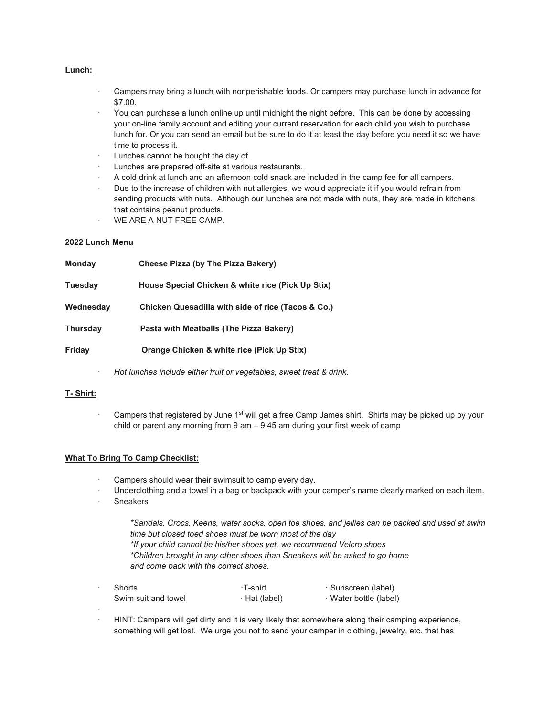### Lunch:

- · Campers may bring a lunch with nonperishable foods. Or campers may purchase lunch in advance for \$7.00.
- · You can purchase a lunch online up until midnight the night before. This can be done by accessing your on-line family account and editing your current reservation for each child you wish to purchase lunch for. Or you can send an email but be sure to do it at least the day before you need it so we have time to process it.
- Lunches cannot be bought the day of.
- Lunches are prepared off-site at various restaurants.
- · A cold drink at lunch and an afternoon cold snack are included in the camp fee for all campers.
- Due to the increase of children with nut allergies, we would appreciate it if you would refrain from sending products with nuts. Although our lunches are not made with nuts, they are made in kitchens that contains peanut products.
- WE ARE A NUT FREE CAMP.

#### 2022 Lunch Menu

| <b>Monday</b>   | Cheese Pizza (by The Pizza Bakery)                 |  |
|-----------------|----------------------------------------------------|--|
| <b>Tuesday</b>  | House Special Chicken & white rice (Pick Up Stix)  |  |
| Wednesday       | Chicken Quesadilla with side of rice (Tacos & Co.) |  |
| <b>Thursday</b> | Pasta with Meatballs (The Pizza Bakery)            |  |
| Friday          | Orange Chicken & white rice (Pick Up Stix)         |  |
|                 |                                                    |  |

Hot lunches include either fruit or vegetables, sweet treat & drink.

# T- Shirt:

Campers that registered by June 1<sup>st</sup> will get a free Camp James shirt. Shirts may be picked up by your child or parent any morning from 9 am – 9:45 am during your first week of camp

#### What To Bring To Camp Checklist:

- Campers should wear their swimsuit to camp every day.
- Underclothing and a towel in a bag or backpack with your camper's name clearly marked on each item.
- **Sneakers**

\*Sandals, Crocs, Keens, water socks, open toe shoes, and jellies can be packed and used at swim time but closed toed shoes must be worn most of the day \*If your child cannot tie his/her shoes yet, we recommend Velcro shoes \*Children brought in any other shoes than Sneakers will be asked to go home and come back with the correct shoes.

| <b>Shorts</b>       | ∙T-shirt      | · Sunscreen (label)    |
|---------------------|---------------|------------------------|
| Swim suit and towel | · Hat (label) | · Water bottle (label) |
|                     |               |                        |

· HINT: Campers will get dirty and it is very likely that somewhere along their camping experience, something will get lost. We urge you not to send your camper in clothing, jewelry, etc. that has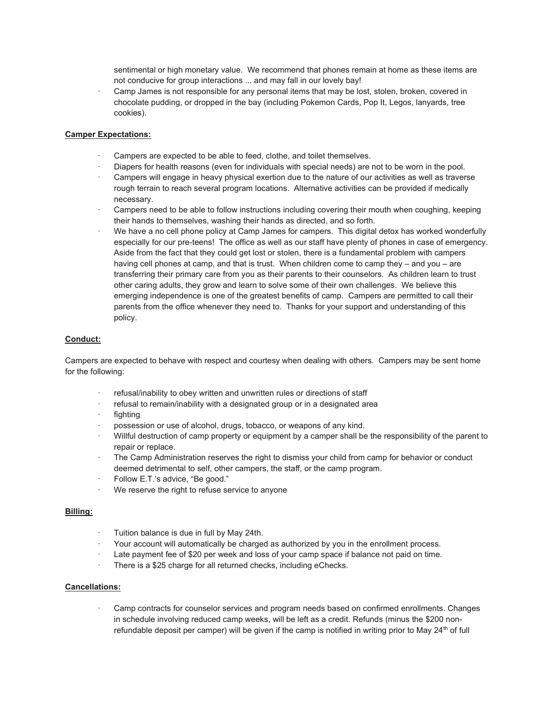sentimental or high monetary value. We recommend that phones remain at home as these items are not conducive for group interactions ... and may fall in our lovely bay!

Camp James is not responsible for any personal items that may be lost, stolen, broken, covered in chocolate pudding, or dropped in the bay (including Pokemon Cards, Pop It, Legos, lanyards, tree cookies).

#### Camper Expectations:

- Campers are expected to be able to feed, clothe, and toilet themselves.
- · Diapers for health reasons (even for individuals with special needs) are not to be worn in the pool.
- Campers will engage in heavy physical exertion due to the nature of our activities as well as traverse rough terrain to reach several program locations. Alternative activities can be provided if medically necessary.
- Campers need to be able to follow instructions including covering their mouth when coughing, keeping their hands to themselves, washing their hands as directed, and so forth.
- · We have a no cell phone policy at Camp James for campers. This digital detox has worked wonderfully especially for our pre-teens! The office as well as our staff have plenty of phones in case of emergency. Aside from the fact that they could get lost or stolen, there is a fundamental problem with campers having cell phones at camp, and that is trust. When children come to camp they – and you – are transferring their primary care from you as their parents to their counselors. As children learn to trust other caring adults, they grow and learn to solve some of their own challenges. We believe this emerging independence is one of the greatest benefits of camp. Campers are permitted to call their parents from the office whenever they need to. Thanks for your support and understanding of this policy.

#### Conduct:

Campers are expected to behave with respect and courtesy when dealing with others. Campers may be sent home for the following:

- refusal/inability to obey written and unwritten rules or directions of staff
- refusal to remain/inability with a designated group or in a designated area
- · fighting
- possession or use of alcohol, drugs, tobacco, or weapons of any kind.
- · Willful destruction of camp property or equipment by a camper shall be the responsibility of the parent to repair or replace.
- The Camp Administration reserves the right to dismiss your child from camp for behavior or conduct deemed detrimental to self, other campers, the staff, or the camp program.
- · Follow E.T.'s advice, "Be good."
- · We reserve the right to refuse service to anyone

#### Billing:

- Tuition balance is due in full by May 24th.
- Your account will automatically be charged as authorized by you in the enrollment process.
- Late payment fee of \$20 per week and loss of your camp space if balance not paid on time.
- · There is a \$25 charge for all returned checks, including eChecks.

#### Cancellations:

· Camp contracts for counselor services and program needs based on confirmed enrollments. Changes in schedule involving reduced camp weeks, will be left as a credit. Refunds (minus the \$200 nonrefundable deposit per camper) will be given if the camp is notified in writing prior to May 24<sup>th</sup> of full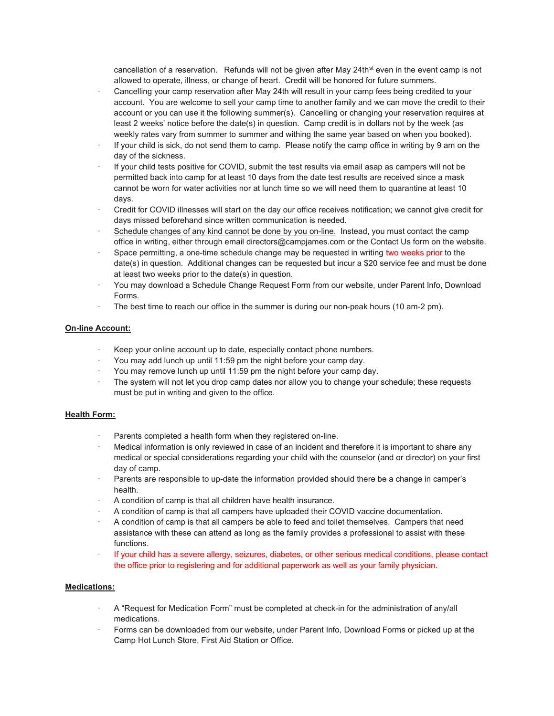cancellation of a reservation. Refunds will not be given after May 24th<sup>st</sup> even in the event camp is not allowed to operate, illness, or change of heart. Credit will be honored for future summers.

- · Cancelling your camp reservation after May 24th will result in your camp fees being credited to your account. You are welcome to sell your camp time to another family and we can move the credit to their account or you can use it the following summer(s). Cancelling or changing your reservation requires at least 2 weeks' notice before the date(s) in question. Camp credit is in dollars not by the week (as weekly rates vary from summer to summer and withing the same year based on when you booked).
- If your child is sick, do not send them to camp. Please notify the camp office in writing by 9 am on the day of the sickness.
- If your child tests positive for COVID, submit the test results via email asap as campers will not be permitted back into camp for at least 10 days from the date test results are received since a mask cannot be worn for water activities nor at lunch time so we will need them to quarantine at least 10 days.
- · Credit for COVID illnesses will start on the day our office receives notification; we cannot give credit for days missed beforehand since written communication is needed.
- · Schedule changes of any kind cannot be done by you on-line. Instead, you must contact the camp office in writing, either through email directors@campjames.com or the Contact Us form on the website.
- Space permitting, a one-time schedule change may be requested in writing two weeks prior to the date(s) in question. Additional changes can be requested but incur a \$20 service fee and must be done at least two weeks prior to the date(s) in question.
- · You may download a Schedule Change Request Form from our website, under Parent Info, Download Forms.
- The best time to reach our office in the summer is during our non-peak hours (10 am-2 pm).

### On-line Account:

- · Keep your online account up to date, especially contact phone numbers.
- · You may add lunch up until 11:59 pm the night before your camp day.
- · You may remove lunch up until 11:59 pm the night before your camp day.
- The system will not let you drop camp dates nor allow you to change your schedule; these requests must be put in writing and given to the office.

#### Health Form:

- Parents completed a health form when they registered on-line.
- Medical information is only reviewed in case of an incident and therefore it is important to share any medical or special considerations regarding your child with the counselor (and or director) on your first day of camp.
- · Parents are responsible to up-date the information provided should there be a change in camper's health.
- · A condition of camp is that all children have health insurance.
- · A condition of camp is that all campers have uploaded their COVID vaccine documentation.
- · A condition of camp is that all campers be able to feed and toilet themselves. Campers that need assistance with these can attend as long as the family provides a professional to assist with these functions.
- · If your child has a severe allergy, seizures, diabetes, or other serious medical conditions, please contact the office prior to registering and for additional paperwork as well as your family physician.

# Medications:

- · A "Request for Medication Form" must be completed at check-in for the administration of any/all medications.
- · Forms can be downloaded from our website, under Parent Info, Download Forms or picked up at the Camp Hot Lunch Store, First Aid Station or Office.